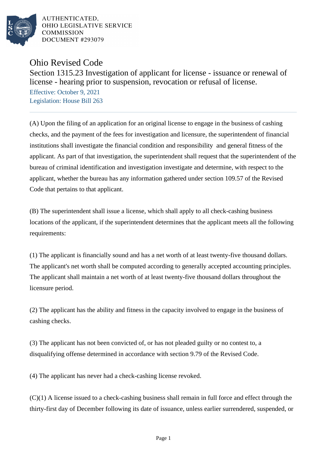

AUTHENTICATED. OHIO LEGISLATIVE SERVICE **COMMISSION DOCUMENT #293079** 

Ohio Revised Code

Section 1315.23 Investigation of applicant for license - issuance or renewal of license - hearing prior to suspension, revocation or refusal of license.

Effective: October 9, 2021 Legislation: House Bill 263

(A) Upon the filing of an application for an original license to engage in the business of cashing checks, and the payment of the fees for investigation and licensure, the superintendent of financial institutions shall investigate the financial condition and responsibility and general fitness of the applicant. As part of that investigation, the superintendent shall request that the superintendent of the bureau of criminal identification and investigation investigate and determine, with respect to the applicant, whether the bureau has any information gathered under section 109.57 of the Revised Code that pertains to that applicant.

(B) The superintendent shall issue a license, which shall apply to all check-cashing business locations of the applicant, if the superintendent determines that the applicant meets all the following requirements:

(1) The applicant is financially sound and has a net worth of at least twenty-five thousand dollars. The applicant's net worth shall be computed according to generally accepted accounting principles. The applicant shall maintain a net worth of at least twenty-five thousand dollars throughout the licensure period.

(2) The applicant has the ability and fitness in the capacity involved to engage in the business of cashing checks.

(3) The applicant has not been convicted of, or has not pleaded guilty or no contest to, a disqualifying offense determined in accordance with section 9.79 of the Revised Code.

(4) The applicant has never had a check-cashing license revoked.

(C)(1) A license issued to a check-cashing business shall remain in full force and effect through the thirty-first day of December following its date of issuance, unless earlier surrendered, suspended, or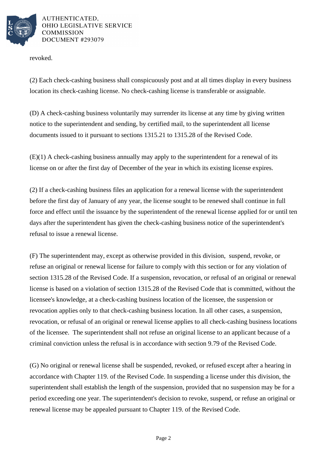

AUTHENTICATED. OHIO LEGISLATIVE SERVICE **COMMISSION DOCUMENT #293079** 

revoked.

(2) Each check-cashing business shall conspicuously post and at all times display in every business location its check-cashing license. No check-cashing license is transferable or assignable.

(D) A check-cashing business voluntarily may surrender its license at any time by giving written notice to the superintendent and sending, by certified mail, to the superintendent all license documents issued to it pursuant to sections 1315.21 to 1315.28 of the Revised Code.

(E)(1) A check-cashing business annually may apply to the superintendent for a renewal of its license on or after the first day of December of the year in which its existing license expires.

(2) If a check-cashing business files an application for a renewal license with the superintendent before the first day of January of any year, the license sought to be renewed shall continue in full force and effect until the issuance by the superintendent of the renewal license applied for or until ten days after the superintendent has given the check-cashing business notice of the superintendent's refusal to issue a renewal license.

(F) The superintendent may, except as otherwise provided in this division, suspend, revoke, or refuse an original or renewal license for failure to comply with this section or for any violation of section 1315.28 of the Revised Code. If a suspension, revocation, or refusal of an original or renewal license is based on a violation of section 1315.28 of the Revised Code that is committed, without the licensee's knowledge, at a check-cashing business location of the licensee, the suspension or revocation applies only to that check-cashing business location. In all other cases, a suspension, revocation, or refusal of an original or renewal license applies to all check-cashing business locations of the licensee. The superintendent shall not refuse an original license to an applicant because of a criminal conviction unless the refusal is in accordance with section 9.79 of the Revised Code.

(G) No original or renewal license shall be suspended, revoked, or refused except after a hearing in accordance with Chapter 119. of the Revised Code. In suspending a license under this division, the superintendent shall establish the length of the suspension, provided that no suspension may be for a period exceeding one year. The superintendent's decision to revoke, suspend, or refuse an original or renewal license may be appealed pursuant to Chapter 119. of the Revised Code.